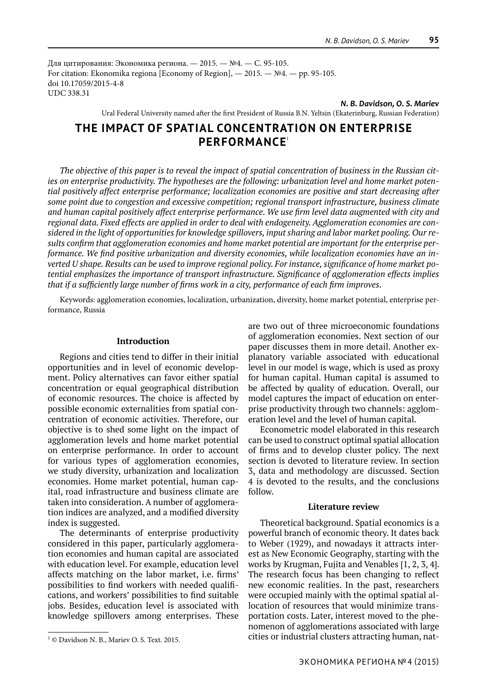Для цитирования: Экономика региона. — 2015. — №4. — С. 95-105. For citation: Ekonomika regiona [Economy of Region], — 2015. — №4. — pp. 95-105. doi 10.17059/2015-4-8 UDC 338.31

> *N. B. Davidson, O. S. Mariev* Ural Federal University named after the first President of Russia B.N. Yeltsin (Ekaterinburg, Russian Federation)

# **The impact of spatial concentration on enterprise performance**<sup>1</sup>

*The objective of this paper is to reveal the impact of spatial concentration of business in the Russian cities on enterprise productivity. The hypotheses are the following: urbanization level and home market potential positively affect enterprise performance; localization economies are positive and start decreasing after some point due to congestion and excessive competition; regional transport infrastructure, business climate and human capital positively affect enterprise performance. We use firm level data augmented with city and regional data. Fixed effects are applied in order to deal with endogeneity. Agglomeration economies are considered in the light of opportunities for knowledge spillovers, input sharing and labor market pooling. Our results confirm that agglomeration economies and home market potential are important for the enterprise performance. We find positive urbanization and diversity economies, while localization economies have an inverted U shape. Results can be used to improve regional policy. For instance, significance of home market potential emphasizes the importance of transport infrastructure. Significance of agglomeration effects implies that if a sufficiently large number of firms work in a city, performance of each firm improves.*

Keywords: agglomeration economies, localization, urbanization, diversity, home market potential, enterprise performance, Russia

# **Introduction**

Regions and cities tend to differ in their initial opportunities and in level of economic development. Policy alternatives can favor either spatial concentration or equal geographical distribution of economic resources. The choice is affected by possible economic externalities from spatial concentration of economic activities. Therefore, our objective is to shed some light on the impact of agglomeration levels and home market potential on enterprise performance. In order to account for various types of agglomeration economies, we study diversity, urbanization and localization economies. Home market potential, human capital, road infrastructure and business climate are taken into consideration. A number of agglomeration indices are analyzed, and a modified diversity index is suggested.

The determinants of enterprise productivity considered in this paper, particularly agglomeration economies and human capital are associated with education level. For example, education level affects matching on the labor market, i.e. firms' possibilities to find workers with needed qualifications, and workers' possibilities to find suitable jobs. Besides, education level is associated with knowledge spillovers among enterprises. These

are two out of three microeconomic foundations of agglomeration economies. Next section of our paper discusses them in more detail. Another explanatory variable associated with educational level in our model is wage, which is used as proxy for human capital. Human capital is assumed to be affected by quality of education. Overall, our model captures the impact of education on enterprise productivity through two channels: agglomeration level and the level of human capital.

Econometric model elaborated in this research can be used to construct optimal spatial allocation of firms and to develop cluster policy. The next section is devoted to literature review. In section 3, data and methodology are discussed. Section 4 is devoted to the results, and the conclusions follow.

## **Literature review**

Theoretical background. Spatial economics is a powerful branch of economic theory. It dates back to Weber (1929), and nowadays it attracts interest as New Economic Geography, starting with the works by Krugman, Fujita and Venables [1, 2, 3, 4]. The research focus has been changing to reflect new economic realities. In the past, researchers were occupied mainly with the optimal spatial allocation of resources that would minimize transportation costs. Later, interest moved to the phenomenon of agglomerations associated with large cities or industrial clusters attracting human, nat-

<sup>1</sup> © Davidson N. B., Mariev O. S. Text. 2015.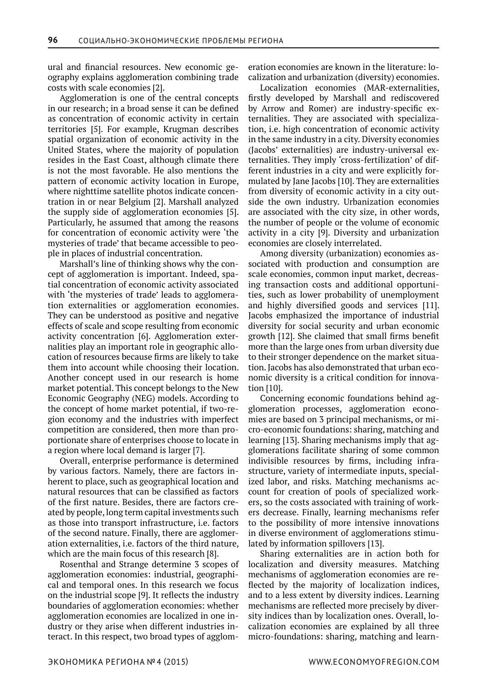ural and financial resources. New economic geography explains agglomeration combining trade costs with scale economies [2].

Agglomeration is one of the central concepts in our research; in a broad sense it can be defined as concentration of economic activity in certain territories [5]. For example, Krugman describes spatial organization of economic activity in the United States, where the majority of population resides in the East Coast, although climate there is not the most favorable. He also mentions the pattern of economic activity location in Europe, where nighttime satellite photos indicate concentration in or near Belgium [2]. Marshall analyzed the supply side of agglomeration economies [5]. Particularly, he assumed that among the reasons for concentration of economic activity were 'the mysteries of trade' that became accessible to people in places of industrial concentration.

Marshall's line of thinking shows why the concept of agglomeration is important. Indeed, spatial concentration of economic activity associated with 'the mysteries of trade' leads to agglomeration externalities or agglomeration economies. They can be understood as positive and negative effects of scale and scope resulting from economic activity concentration [6]. Agglomeration externalities play an important role in geographic allocation of resources because firms are likely to take them into account while choosing their location. Another concept used in our research is home market potential. This concept belongs to the New Economic Geography (NEG) models. According to the concept of home market potential, if two-region economy and the industries with imperfect competition are considered, then more than proportionate share of enterprises choose to locate in a region where local demand is larger [7].

Overall, enterprise performance is determined by various factors. Namely, there are factors inherent to place, such as geographical location and natural resources that can be classified as factors of the first nature. Besides, there are factors created by people, long term capital investments such as those into transport infrastructure, i.e. factors of the second nature. Finally, there are agglomeration externalities, i.e. factors of the third nature, which are the main focus of this research [8].

Rosenthal and Strange determine 3 scopes of agglomeration economies: industrial, geographical and temporal ones. In this research we focus on the industrial scope [9]. It reflects the industry boundaries of agglomeration economies: whether agglomeration economies are localized in one industry or they arise when different industries interact. In this respect, two broad types of agglomeration economies are known in the literature: localization and urbanization (diversity) economies.

Localization economies (MAR-externalities, firstly developed by Marshall and rediscovered by Arrow and Romer) are industry-specific externalities. They are associated with specialization, i.e. high concentration of economic activity in the same industry in a city. Diversity economies (Jacobs' externalities) are industry-universal externalities. They imply 'cross-fertilization' of different industries in a city and were explicitly formulated by Jane Jacobs [10]. They are externalities from diversity of economic activity in a city outside the own industry. Urbanization economies are associated with the city size, in other words, the number of people or the volume of economic activity in a city [9]. Diversity and urbanization economies are closely interrelated.

Among diversity (urbanization) economies associated with production and consumption are scale economies, common input market, decreasing transaction costs and additional opportunities, such as lower probability of unemployment and highly diversified goods and services [11]. Jacobs emphasized the importance of industrial diversity for social security and urban economic growth [12]. She claimed that small firms benefit more than the large ones from urban diversity due to their stronger dependence on the market situation. Jacobs has also demonstrated that urban economic diversity is a critical condition for innovation [10].

Concerning economic foundations behind agglomeration processes, agglomeration economies are based on 3 principal mechanisms, or micro-economic foundations: sharing, matching and learning [13]. Sharing mechanisms imply that agglomerations facilitate sharing of some common indivisible resources by firms, including infrastructure, variety of intermediate inputs, specialized labor, and risks. Matching mechanisms account for creation of pools of specialized workers, so the costs associated with training of workers decrease. Finally, learning mechanisms refer to the possibility of more intensive innovations in diverse environment of agglomerations stimulated by information spillovers [13].

Sharing externalities are in action both for localization and diversity measures. Matching mechanisms of agglomeration economies are reflected by the majority of localization indices, and to a less extent by diversity indices. Learning mechanisms are reflected more precisely by diversity indices than by localization ones. Overall, localization economies are explained by all three micro-foundations: sharing, matching and learn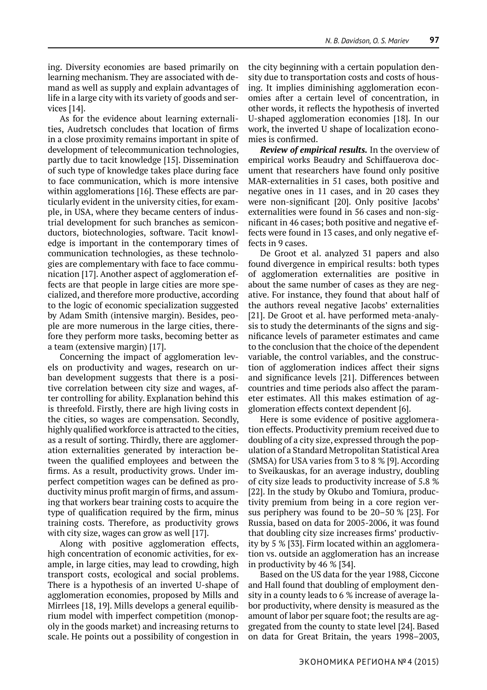ing. Diversity economies are based primarily on learning mechanism. They are associated with demand as well as supply and explain advantages of life in a large city with its variety of goods and services [14].

As for the evidence about learning externalities, Audretsch concludes that location of firms in a close proximity remains important in spite of development of telecommunication technologies, partly due to tacit knowledge [15]. Dissemination of such type of knowledge takes place during face to face communication, which is more intensive within agglomerations [16]. These effects are particularly evident in the university cities, for example, in USA, where they became centers of industrial development for such branches as semiconductors, biotechnologies, software. Tacit knowledge is important in the contemporary times of communication technologies, as these technologies are complementary with face to face communication [17]. Another aspect of agglomeration effects are that people in large cities are more specialized, and therefore more productive, according to the logic of economic specialization suggested by Adam Smith (intensive margin). Besides, people are more numerous in the large cities, therefore they perform more tasks, becoming better as a team (extensive margin) [17].

Concerning the impact of agglomeration levels on productivity and wages, research on urban development suggests that there is a positive correlation between city size and wages, after controlling for ability. Explanation behind this is threefold. Firstly, there are high living costs in the cities, so wages are compensation. Secondly, highly qualified workforce is attracted to the cities, as a result of sorting. Thirdly, there are agglomeration externalities generated by interaction between the qualified employees and between the firms. As a result, productivity grows. Under imperfect competition wages can be defined as productivity minus profit margin of firms, and assuming that workers bear training costs to acquire the type of qualification required by the firm, minus training costs. Therefore, as productivity grows with city size, wages can grow as well [17].

Along with positive agglomeration effects, high concentration of economic activities, for example, in large cities, may lead to crowding, high transport costs, ecological and social problems. There is a hypothesis of an inverted U-shape of agglomeration economies, proposed by Mills and Mirrlees [18, 19]. Mills develops a general equilibrium model with imperfect competition (monopoly in the goods market) and increasing returns to scale. He points out a possibility of congestion in

the city beginning with a certain population density due to transportation costs and costs of housing. It implies diminishing agglomeration economies after a certain level of concentration, in other words, it reflects the hypothesis of inverted U-shaped agglomeration economies [18]. In our work, the inverted U shape of localization economies is confirmed.

*Review of empirical results.* In the overview of empirical works Beaudry and Schiffauerova document that researchers have found only positive MAR-externalities in 51 cases, both positive and negative ones in 11 cases, and in 20 cases they were non-significant [20]. Only positive Jacobs' externalities were found in 56 cases and non-significant in 46 cases; both positive and negative effects were found in 13 cases, and only negative effects in 9 cases.

De Groot et al. analyzed 31 papers and also found divergence in empirical results: both types of agglomeration externalities are positive in about the same number of cases as they are negative. For instance, they found that about half of the authors reveal negative Jacobs' externalities [21]. De Groot et al. have performed meta-analysis to study the determinants of the signs and significance levels of parameter estimates and came to the conclusion that the choice of the dependent variable, the control variables, and the construction of agglomeration indices affect their signs and significance levels [21]. Differences between countries and time periods also affect the parameter estimates. All this makes estimation of agglomeration effects context dependent [6].

Here is some evidence of positive agglomeration effects. Productivity premium received due to doubling of a city size, expressed through the population of a Standard Metropolitan Statistical Area (SMSA) for USA varies from 3 to 8 % [9]. According to Sveikauskas, for an average industry, doubling of city size leads to productivity increase of 5.8 % [22]. In the study by Okubo and Tomiura, productivity premium from being in a core region versus periphery was found to be 20–50 % [23]. For Russia, based on data for 2005-2006, it was found that doubling city size increases firms' productivity by 5 % [33]. Firm located within an agglomeration vs. outside an agglomeration has an increase in productivity by 46 % [34].

Based on the US data for the year 1988, Ciccone and Hall found that doubling of employment density in a county leads to 6 % increase of average labor productivity, where density is measured as the amount of labor per square foot; the results are aggregated from the county to state level [24]. Based on data for Great Britain, the years 1998–2003,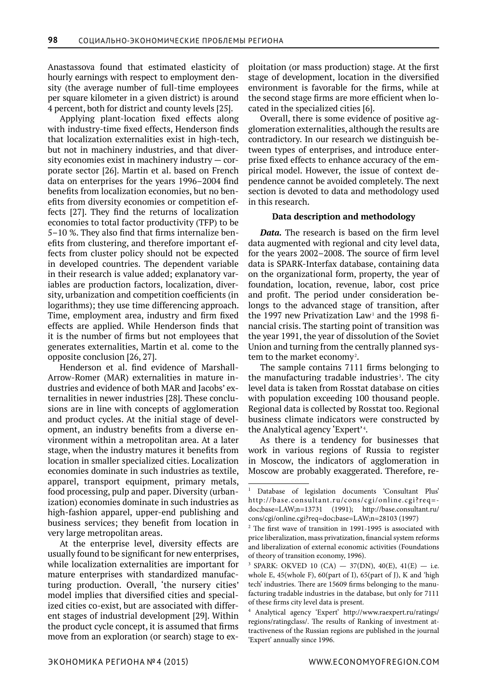Anastassova found that estimated elasticity of hourly earnings with respect to employment density (the average number of full-time employees per square kilometer in a given district) is around 4 percent, both for district and county levels [25].

Applying plant-location fixed effects along with industry-time fixed effects, Henderson finds that localization externalities exist in high-tech, but not in machinery industries, and that diversity economies exist in machinery industry — corporate sector [26]. Martin et al. based on French data on enterprises for the years 1996–2004 find benefits from localization economies, but no benefits from diversity economies or competition effects [27]. They find the returns of localization economies to total factor productivity (TFP) to be 5–10 %. They also find that firms internalize benefits from clustering, and therefore important effects from cluster policy should not be expected in developed countries. The dependent variable in their research is value added; explanatory variables are production factors, localization, diversity, urbanization and competition coefficients (in logarithms); they use time differencing approach. Time, employment area, industry and firm fixed effects are applied. While Henderson finds that it is the number of firms but not employees that generates externalities, Martin et al. come to the opposite conclusion [26, 27].

Henderson et al. find evidence of Marshall-Arrow-Romer (MAR) externalities in mature industries and evidence of both MAR and Jacobs' externalities in newer industries [28]. These conclusions are in line with concepts of agglomeration and product cycles. At the initial stage of development, an industry benefits from a diverse environment within a metropolitan area. At a later stage, when the industry matures it benefits from location in smaller specialized cities. Localization economies dominate in such industries as textile, apparel, transport equipment, primary metals, food processing, pulp and paper. Diversity (urbanization) economies dominate in such industries as high-fashion apparel, upper-end publishing and business services; they benefit from location in very large metropolitan areas.

At the enterprise level, diversity effects are usually found to be significant for new enterprises, while localization externalities are important for mature enterprises with standardized manufacturing production. Overall, 'the nursery cities' model implies that diversified cities and specialized cities co-exist, but are associated with different stages of industrial development [29]. Within the product cycle concept, it is assumed that firms move from an exploration (or search) stage to exploitation (or mass production) stage. At the first stage of development, location in the diversified environment is favorable for the firms, while at the second stage firms are more efficient when located in the specialized cities [6].

Overall, there is some evidence of positive agglomeration externalities, although the results are contradictory. In our research we distinguish between types of enterprises, and introduce enterprise fixed effects to enhance accuracy of the empirical model. However, the issue of context dependence cannot be avoided completely. The next section is devoted to data and methodology used in this research.

## **Data description and methodology**

*Data.* The research is based on the firm level data augmented with regional and city level data, for the years 2002–2008. The source of firm level data is SPARK-Interfax database, containing data on the organizational form, property, the year of foundation, location, revenue, labor, cost price and profit. The period under consideration belongs to the advanced stage of transition, after the 1997 new Privatization Law $^1$  and the 1998 financial crisis. The starting point of transition was the year 1991, the year of dissolution of the Soviet Union and turning from the centrally planned system to the market economy<sup>2</sup>.

The sample contains 7111 firms belonging to the manufacturing tradable industries<sup>3</sup>. The city level data is taken from Rosstat database on cities with population exceeding 100 thousand people. Regional data is collected by Rosstat too. Regional business climate indicators were constructed by the Analytical agency 'Expert'<sup>4</sup>.

As there is a tendency for businesses that work in various regions of Russia to register in Moscow, the indicators of agglomeration in Moscow are probably exaggerated. Therefore, re-

<sup>1</sup> Database of legislation documents 'Consultant Plus' http://base.consultant.ru/cons/cgi/online.cgi?req= doc;base=LAW;n=13731 (1991); http://base.consultant.ru/ cons/cgi/online.cgi?req=doc;base=LAW;n=28103 (1997)

<sup>&</sup>lt;sup>2</sup> The first wave of transition in 1991-1995 is associated with price liberalization, mass privatization, financial system reforms and liberalization of external economic activities (Foundations of theory of transition economy, 1996).

<sup>&</sup>lt;sup>3</sup> SPARK: OKVED 10 (CA)  $-$  37(DN), 40(E), 41(E)  $-$  i.e. whole E, 45(whole F), 60(part of I), 65(part of J), K and 'high tech' industries. There are 15609 firms belonging to the manufacturing tradable industries in the database, but only for 7111 of these firms city level data is present.

<sup>4</sup> Analytical agency 'Expert' http://www.raexpert.ru/ratings/ regions/ratingclass/. The results of Ranking of investment attractiveness of the Russian regions are published in the journal 'Expert' annually since 1996.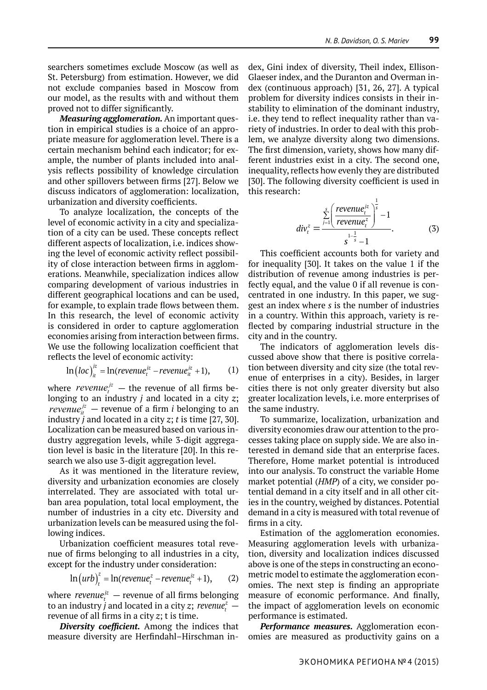searchers sometimes exclude Moscow (as well as St. Petersburg) from estimation. However, we did not exclude companies based in Moscow from our model, as the results with and without them proved not to differ significantly.

*Measuring agglomeration.* An important question in empirical studies is a choice of an appropriate measure for agglomeration level. There is a certain mechanism behind each indicator; for example, the number of plants included into analysis reflects possibility of knowledge circulation and other spillovers between firms [27]. Below we discuss indicators of agglomeration: localization, urbanization and diversity coefficients.

To analyze localization, the concepts of the level of economic activity in a city and specialization of a city can be used. These concepts reflect different aspects of localization, i.e. indices showing the level of economic activity reflect possibility of close interaction between firms in agglomerations. Meanwhile, specialization indices allow comparing development of various industries in different geographical locations and can be used, for example, to explain trade flows between them. In this research, the level of economic activity is considered in order to capture agglomeration economies arising from interaction between firms. We use the following localization coefficient that reflects the level of economic activity:

$$
\ln (loc)_{it}^{iz} = \ln(revenue_t^{iz} - revenue_{it}^{iz} + 1), \qquad (1)
$$

where  $revenue_i^j$  — the revenue of all firms belonging to an industry *j* and located in a city *z*; *revenue*<sup> $jz$ </sup> – revenue of a firm *i* belonging to an industry *j* and located in a city *z*; *t* is time [27, 30]. Localization can be measured based on various industry aggregation levels, while 3-digit aggregation level is basic in the literature [20]. In this research we also use 3-digit aggregation level.

As it was mentioned in the literature review, diversity and urbanization economies are closely interrelated. They are associated with total urban area population, total local employment, the number of industries in a city etc. Diversity and urbanization levels can be measured using the following indices.

Urbanization coefficient measures total revenue of firms belonging to all industries in a city, except for the industry under consideration:

$$
\ln\left(urb\right)_{t}^{z} = \ln(revenue_{t}^{z} - revenue_{t}^{iz} + 1),\qquad(2)
$$

where  $\textit{revenue}_t^{\textit{iz}}$  — revenue of all firms belonging to an industry  $j$  and located in a city  $z$ ;  $\mathit{revenue}^z_t$  revenue of all firms in a city *z*; t is time.

*Diversity coefficient.* Among the indices that measure diversity are Herfindahl–Hirschman index, Gini index of diversity, Theil index, Ellison-Glaeser index, and the Duranton and Overman index (continuous approach) [31, 26, 27]. A typical problem for diversity indices consists in their instability to elimination of the dominant industry, i.e. they tend to reflect inequality rather than variety of industries. In order to deal with this problem, we analyze diversity along two dimensions. The first dimension, variety, shows how many different industries exist in a city. The second one, inequality, reflects how evenly they are distributed [30]. The following diversity coefficient is used in this research:

$$
div_{t}^{z} = \frac{\sum_{j=1}^{s} \left( \frac{revenue_{t}^{iz}}{revenue_{t}^{z}} \right)^{\frac{1}{s}} - 1}{s^{\frac{1-\frac{1}{s}}{s}} - 1}.
$$
 (3)

This coefficient accounts both for variety and for inequality [30]. It takes on the value 1 if the distribution of revenue among industries is perfectly equal, and the value 0 if all revenue is concentrated in one industry. In this paper, we suggest an index where *s* is the number of industries in a country. Within this approach, variety is reflected by comparing industrial structure in the city and in the country.

The indicators of agglomeration levels discussed above show that there is positive correlation between diversity and city size (the total revenue of enterprises in a city). Besides, in larger cities there is not only greater diversity but also greater localization levels, i.e. more enterprises of the same industry.

To summarize, localization, urbanization and diversity economies draw our attention to the processes taking place on supply side. We are also interested in demand side that an enterprise faces. Therefore, Home market potential is introduced into our analysis. To construct the variable Home market potential (*HMP*) of a city, we consider potential demand in a city itself and in all other cities in the country, weighed by distances. Potential demand in a city is measured with total revenue of firms in a city.

Estimation of the agglomeration economies. Measuring agglomeration levels with urbanization, diversity and localization indices discussed above is one of the steps in constructing an econometric model to estimate the agglomeration economies. The next step is finding an appropriate measure of economic performance. And finally, the impact of agglomeration levels on economic performance is estimated.

*Performance measures.* Agglomeration economies are measured as productivity gains on a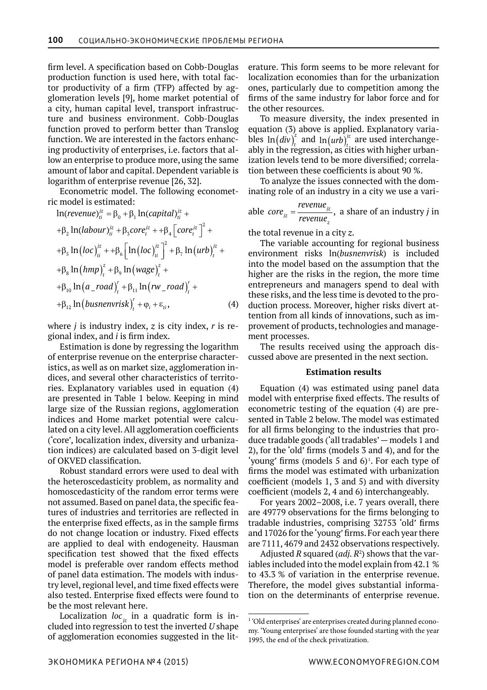firm level. A specification based on Cobb-Douglas production function is used here, with total factor productivity of a firm (TFP) affected by agglomeration levels [9], home market potential of a city, human capital level, transport infrastructure and business environment. Cobb-Douglas function proved to perform better than Translog function. We are interested in the factors enhancing productivity of enterprises, i.e. factors that allow an enterprise to produce more, using the same amount of labor and capital. Dependent variable is logarithm of enterprise revenue [26, 32].

Econometric model. The following econometric model is estimated:

$$
\ln(revenue)^{iz}_{ti} = \beta_0 + \beta_1 \ln(capital)^{iz}_{ti} +
$$
  
+ $\beta_2 \ln(labour)^{iz}_{ti} + \beta_3 core^{iz}_{t} + +\beta_4 \left[ core^{iz}_{t} \right]^{2} +$   
+ $\beta_5 \ln(loc)^{iz}_{ti} + +\beta_6 \left[ \ln(loc)^{iz}_{ti} \right]^{2} + \beta_7 \ln(urb)^{iz}_{t} +$   
+ $\beta_8 \ln(hmp)^{z}_{t} + \beta_9 \ln(wage)^{z}_{t} +$   
+ $\beta_{10} \ln(a_{\text{road}})^{r}_{t} + \beta_{11} \ln(rw_{\text{road}})^{r}_{t} +$   
+ $\beta_{12} \ln(busnenvrisk)^{r}_{t} + \varphi_i + \varepsilon_{ti},$  (4)

where *j* is industry index, *z* is city index, *r* is regional index, and *i* is firm index.

Estimation is done by regressing the logarithm of enterprise revenue on the enterprise characteristics, as well as on market size, agglomeration indices, and several other characteristics of territories. Explanatory variables used in equation (4) are presented in Table 1 below. Keeping in mind large size of the Russian regions, agglomeration indices and Home market potential were calculated on a city level. All agglomeration coefficients ('core', localization index, diversity and urbanization indices) are calculated based on 3-digit level of OKVED classification.

Robust standard errors were used to deal with the heteroscedasticity problem, as normality and homoscedasticity of the random error terms were not assumed. Based on panel data, the specific features of industries and territories are reflected in the enterprise fixed effects, as in the sample firms do not change location or industry. Fixed effects are applied to deal with endogeneity. Hausman specification test showed that the fixed effects model is preferable over random effects method of panel data estimation. The models with industry level, regional level, and time fixed effects were also tested. Enterprise fixed effects were found to be the most relevant here.

Localization  $loc_{i\tau}$  in a quadratic form is included into regression to test the inverted *U* shape of agglomeration economies suggested in the literature. This form seems to be more relevant for localization economies than for the urbanization ones, particularly due to competition among the firms of the same industry for labor force and for the other resources.

To measure diversity, the index presented in equation (3) above is applied. Explanatory variables  $\ln (div)_t^z$  and  $\ln (urb)_t^{\gamma z}$  are used interchangeably in the regression, as cities with higher urbanization levels tend to be more diversified; correlation between these coefficients is about 90 %.

To analyze the issues connected with the dominating role of an industry in a city we use a vari-

able 
$$
core_{iz} = \frac{revenue_{iz}}{revenue_z}
$$
, a share of an industry *j* in

the total revenue in a city *z*.

The variable accounting for regional business environment risks ln(*busnenvrisk*) is included into the model based on the assumption that the higher are the risks in the region, the more time entrepreneurs and managers spend to deal with these risks, and the less time is devoted to the production process. Moreover, higher risks divert attention from all kinds of innovations, such as improvement of products, technologies and management processes.

The results received using the approach discussed above are presented in the next section.

### **Estimation results**

Equation (4) was estimated using panel data model with enterprise fixed effects. The results of econometric testing of the equation (4) are presented in Table 2 below. The model was estimated for all firms belonging to the industries that produce tradable goods ('all tradables' — models 1 and 2), for the 'old' firms (models 3 and 4), and for the 'young' firms (models  $5$  and  $6$ )<sup> $\scriptstyle\perp$ </sup>. For each type of firms the model was estimated with urbanization coefficient (models 1, 3 and 5) and with diversity coefficient (models 2, 4 and 6) interchangeably.

For years 2002–2008, i.e. 7 years overall, there are 49779 observations for the firms belonging to tradable industries, comprising 32753 'old' firms and 17026 for the 'young' firms. For each year there are 7111, 4679 and 2432 observations respectively.

Adjusted *R* squared (*adj. R*<sup>2</sup> ) shows that the variables included into the model explain from 42.1 % to 43.3 % of variation in the enterprise revenue. Therefore, the model gives substantial information on the determinants of enterprise revenue.

<sup>&</sup>lt;sup>1</sup> 'Old enterprises' are enterprises created during planned economy. 'Young enterprises' are those founded starting with the year 1995, the end of the check privatization.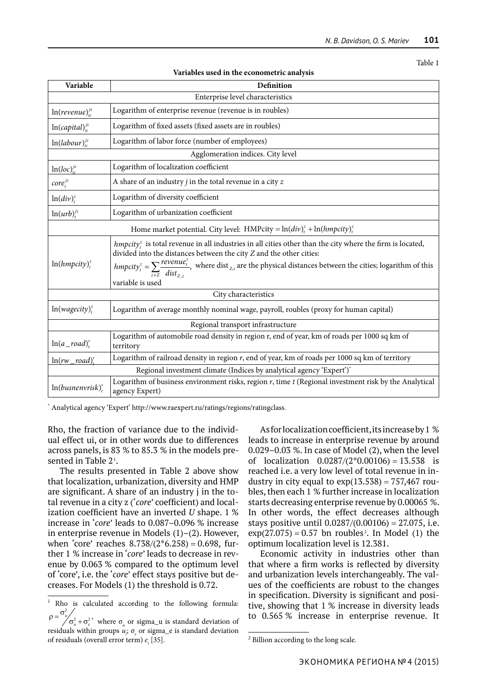Table 1

| Variable                                                                         | Definition                                                                                                                                                                                                                                                                                                                                                                                                       |  |  |  |  |  |  |
|----------------------------------------------------------------------------------|------------------------------------------------------------------------------------------------------------------------------------------------------------------------------------------------------------------------------------------------------------------------------------------------------------------------------------------------------------------------------------------------------------------|--|--|--|--|--|--|
| Enterprise level characteristics                                                 |                                                                                                                                                                                                                                                                                                                                                                                                                  |  |  |  |  |  |  |
| $ln(revenue)^{jz}_{ti}$                                                          | Logarithm of enterprise revenue (revenue is in roubles)                                                                                                                                                                                                                                                                                                                                                          |  |  |  |  |  |  |
| $ln(capital)^{jz}_{ti}$                                                          | Logarithm of fixed assets (fixed assets are in roubles)                                                                                                                                                                                                                                                                                                                                                          |  |  |  |  |  |  |
| $ln(labour)^{jz}_{ti}$                                                           | Logarithm of labor force (number of employees)                                                                                                                                                                                                                                                                                                                                                                   |  |  |  |  |  |  |
| Agglomeration indices. City level                                                |                                                                                                                                                                                                                                                                                                                                                                                                                  |  |  |  |  |  |  |
| $ln(loc)^{jz}_{ti}$                                                              | Logarithm of localization coefficient                                                                                                                                                                                                                                                                                                                                                                            |  |  |  |  |  |  |
| $core_t^{jz}$                                                                    | A share of an industry $j$ in the total revenue in a city $z$                                                                                                                                                                                                                                                                                                                                                    |  |  |  |  |  |  |
| $ln(div)^{z}_{t}$                                                                | Logarithm of diversity coefficient                                                                                                                                                                                                                                                                                                                                                                               |  |  |  |  |  |  |
| ln(urb) <sub>t</sub> <sup>jz</sup>                                               | Logarithm of urbanization coefficient                                                                                                                                                                                                                                                                                                                                                                            |  |  |  |  |  |  |
| Home market potential. City level: HMPcity = $\ln (div)_t^z + \ln (hmpcity)_t^z$ |                                                                                                                                                                                                                                                                                                                                                                                                                  |  |  |  |  |  |  |
| $ln(hmpcity)^{z}$                                                                | $hmpcity$ , is total revenue in all industries in all cities other than the city where the firm is located,<br>divided into the distances between the city $Z$ and the other cities:<br><i>hmpcity</i> <sub>t</sub> <sup>z</sup> = $\sum_{z\neq z} \frac{revenue_i^z}{dist_{z,z}}$ , where dist <sub><math>z,z</math></sub> are the physical distances between the cities; logarithm of this<br>variable is used |  |  |  |  |  |  |
| City characteristics                                                             |                                                                                                                                                                                                                                                                                                                                                                                                                  |  |  |  |  |  |  |
| $ln(wagecity)_t^z$                                                               | Logarithm of average monthly nominal wage, payroll, roubles (proxy for human capital)                                                                                                                                                                                                                                                                                                                            |  |  |  |  |  |  |
| Regional transport infrastructure                                                |                                                                                                                                                                                                                                                                                                                                                                                                                  |  |  |  |  |  |  |
| $ln(a_{\text{r}}\text{road})^r_t$                                                | Logarithm of automobile road density in region r, end of year, km of roads per 1000 sq km of<br>territory                                                                                                                                                                                                                                                                                                        |  |  |  |  |  |  |
| $ln(rw\_road)^r$                                                                 | Logarithm of railroad density in region $r$ , end of year, km of roads per 1000 sq km of territory                                                                                                                                                                                                                                                                                                               |  |  |  |  |  |  |
| Regional investment climate (Indices by analytical agency 'Expert')*             |                                                                                                                                                                                                                                                                                                                                                                                                                  |  |  |  |  |  |  |
| $ln(busnenv risk)^{r}$                                                           | Logarithm of business environment risks, region $r$ , time $t$ (Regional investment risk by the Analytical<br>agency Expert)                                                                                                                                                                                                                                                                                     |  |  |  |  |  |  |

#### **Variables used in the econometric analysis**

\* Analytical agency 'Expert' http://www.raexpert.ru/ratings/regions/ratingclass.

Rho, the fraction of variance due to the individual effect ui, or in other words due to differences across panels, is 83 % to 85.3 % in the models presented in Table  $2^{\scriptscriptstyle{1}}.$ 

The results presented in Table 2 above show that localization, urbanization, diversity and HMP are significant. A share of an industry j in the total revenue in a city z ('*core*' coefficient) and localization coefficient have an inverted *U* shape. 1 % increase in '*core*' leads to 0.087–0.096 % increase in enterprise revenue in Models (1)–(2). However, when 'core' reaches  $8.738/(2*6.258) = 0.698$ , further 1 % increase in '*core*' leads to decrease in revenue by 0.063 % compared to the optimum level of 'core', i.e. the '*core*' effect stays positive but decreases. For Models (1) the threshold is 0.72.

As for localization coefficient, its increase by 1 % leads to increase in enterprise revenue by around 0.029–0.03 %. In case of Model (2), when the level of localization  $0.0287/(2*0.00106) = 13.538$  is reached i.e. a very low level of total revenue in industry in city equal to  $exp(13.538) = 757,467$  roubles, then each 1 % further increase in localization starts decreasing enterprise revenue by 0.00065 %. In other words, the effect decreases although stays positive until  $0.0287/(0.00106) = 27.075$ , i.e.  $exp(27.075) = 0.57$  bn roubles<sup>2</sup>. In Model (1) the optimum localization level is 12.381.

Economic activity in industries other than that where a firm works is reflected by diversity and urbanization levels interchangeably. The values of the coefficients are robust to the changes in specification. Diversity is significant and positive, showing that 1 % increase in diversity leads to 0.565 % increase in enterprise revenue. It

<sup>1</sup> Rho is calculated according to the following formula:

 $\rho = \frac{\sigma_u^2}{\sigma_u^2 + \sigma_e^2}$ , where  $\sigma_u$  or sigma\_u is standard deviation of residuals within groups  $u_i$ , σ<sub>e</sub> or sigma\_e is standard deviation of residuals (overall error term)  $e_i$  [35].

<sup>2</sup> Billion according to the long scale.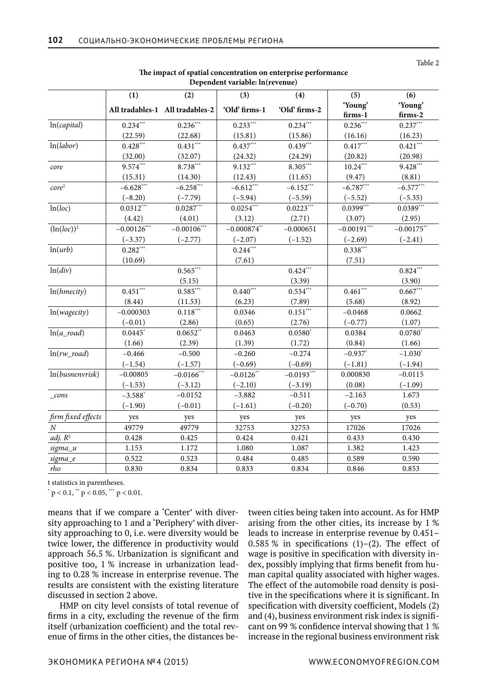|                    | л.                    |                                        |                      |                      |                |                       |  |  |
|--------------------|-----------------------|----------------------------------------|----------------------|----------------------|----------------|-----------------------|--|--|
|                    | (1)                   | (2)<br>All tradables-1 All tradables-2 | (3)<br>'Old' firms-1 | (4)<br>'Old' firms-2 | (5)<br>'Young' | (6)<br>'Young'        |  |  |
|                    |                       |                                        |                      |                      |                |                       |  |  |
|                    |                       |                                        |                      |                      | firms-1        | firms-2               |  |  |
| ln(capital)        | $0.234***$            | $0.236***$                             | $0.233***$           | $0.234***$           | $0.236***$     | $0.237***$            |  |  |
|                    | (22.59)               | (22.68)                                | (15.81)              | (15.86)              | (16.16)        | (16.23)               |  |  |
| ln(labor)          | $0.428***$            | $0.431***$                             | $0.437***$           | $0.439***$           | $0.417***$     | $0.421***$            |  |  |
|                    | (32.00)               | (32.07)                                | (24.32)              | (24.29)              | (20.82)        | (20.98)               |  |  |
| core               | $9.574***$            | 8.738***                               | $9.132***$           | $8.305***$           | $10.24***$     | $9.428***$            |  |  |
|                    | (15.31)               | (14.30)                                | (12.43)              | (11.65)              | (9.47)         | (8.81)                |  |  |
| core <sup>2</sup>  | $-6.628***$           | $-6.258***$                            | $-6.612***$          | $-6.152***$          | $-6.787***$    | $-6.577***$           |  |  |
|                    | $(-8.20)$             | $(-7.79)$                              | $(-5.94)$            | $(-5.59)$            | $(-5.52)$      | $(-5.35)$             |  |  |
| ln(loc)            | $0.0312***$           | $0.0287***$                            | $0.0254***$          | $0.0223***$          | $0.0399***$    | $0.0389***$           |  |  |
|                    | (4.42)                | (4.01)                                 | (3.12)               | (2.71)               | (3.07)         | (2.95)                |  |  |
| $(ln(loc))^2$      | $-0.00126***$         | $-0.00106***$                          | $-0.000874$ **       | $-0.000651$          | $-0.00191***$  | $-0.00175$ **         |  |  |
|                    | $(-3.37)$             | $(-2.77)$                              | $(-2.07)$            | $(-1.52)$            | $(-2.69)$      | $(-2.41)$             |  |  |
| ln(urb)            | $0.282***$            |                                        | $0.244***$           |                      | $0.338***$     |                       |  |  |
|                    | (10.69)               |                                        | (7.61)               |                      | (7.51)         |                       |  |  |
| ln(div)            |                       | $0.565***$                             |                      | $0.424***$           |                | $0.824***$            |  |  |
|                    |                       | (5.15)                                 |                      | (3.39)               |                | (3.90)                |  |  |
| ln(hmecity)        | $0.451***$            | $0.585***$                             | $0.440***$           | $0.534***$           | $0.461***$     | $0.667***$            |  |  |
|                    | (8.44)                | (11.53)                                | (6.23)               | (7.89)               | (5.68)         | (8.92)                |  |  |
| ln(wagecity)       | $-0.000303$           | $0.118***$                             | 0.0346               | $0.151***$           | $-0.0468$      | 0.0662                |  |  |
|                    | $(-0.01)$             | (2.86)                                 | (0.65)               | (2.76)               | $(-0.77)$      | (1.07)                |  |  |
| $ln(a$ _road)      | $0.0445$ *            | $0.0652**$                             | 0.0463               | $0.0580*$            | 0.0384         | $0.0780*$             |  |  |
|                    | (1.66)                | (2.39)                                 | (1.39)               | (1.72)               | (0.84)         | (1.66)                |  |  |
| $ln(rw\_road)$     | $-0.466$              | $-0.500$                               | $-0.260$             | $-0.274$             | $-0.937$ *     | $-1.030$ <sup>*</sup> |  |  |
|                    | $(-1.54)$             | $(-1.57)$                              | $(-0.69)$            | $(-0.69)$            | $(-1.81)$      | $(-1.94)$             |  |  |
| ln(busnenv risk)   | $-0.00805$            | $-0.0166$ ***                          | $-0.0126$ **         | $-0.0193***$         | 0.000830       | $-0.0115$             |  |  |
|                    | $(-1.53)$             | $(-3.12)$                              | $(-2.10)$            | $(-3.19)$            | (0.08)         | $(-1.09)$             |  |  |
| $_{cons}$          | $-3.588$ <sup>*</sup> | $-0.0152$                              | $-3.882$             | $-0.511$             | $-2.163$       | 1.673                 |  |  |
|                    | $(-1.90)$             | $(-0.01)$                              | $(-1.61)$            | $(-0.20)$            | $(-0.70)$      | (0.53)                |  |  |
| firm fixed effects | yes                   | yes                                    | yes                  | yes                  | yes            | yes                   |  |  |
| $\boldsymbol{N}$   | 49779                 | 49779                                  | 32753                | 32753                | 17026          | 17026                 |  |  |
| adj. $R^2$         | 0.428                 | 0.425                                  | 0.424                | 0.421                | 0.433          | 0.430                 |  |  |
| sigma_u            | 1.153                 | 1.172                                  | 1.080                | 1.087                | 1.382          | 1.423                 |  |  |
| sigma_e            | 0.522                 | 0.523                                  | 0.484                | 0.485                | 0.589          | 0.590                 |  |  |
| rho                | 0.830                 | 0.834                                  | 0.833                | 0.834                | 0.846          | 0.853                 |  |  |

#### **The impact of spatial concentration on enterprise performance Dependent variable: ln(revenue)**

t statistics in parentheses.

 $\mathrm{^*~p} < 0.1, \mathrm{^{\mathrm{**}}~p} < 0.05, \mathrm{^{\mathrm{***}}~p} < 0.01.$ 

means that if we compare a 'Center' with diversity approaching to 1 and a 'Periphery' with diversity approaching to 0, i.e. were diversity would be twice lower, the difference in productivity would approach 56.5 %. Urbanization is significant and positive too, 1 % increase in urbanization leading to 0.28 % increase in enterprise revenue. The results are consistent with the existing literature discussed in section 2 above.

HMP on city level consists of total revenue of firms in a city, excluding the revenue of the firm itself (urbanization coefficient) and the total revenue of firms in the other cities, the distances between cities being taken into account. As for HMP arising from the other cities, its increase by 1 % leads to increase in enterprise revenue by 0.451– 0.585 % in specifications  $(1)-(2)$ . The effect of wage is positive in specification with diversity index, possibly implying that firms benefit from human capital quality associated with higher wages. The effect of the automobile road density is positive in the specifications where it is significant. In specification with diversity coefficient, Models (2) and (4), business environment risk index is significant on 99 % confidence interval showing that 1 % increase in the regional business environment risk

Table 2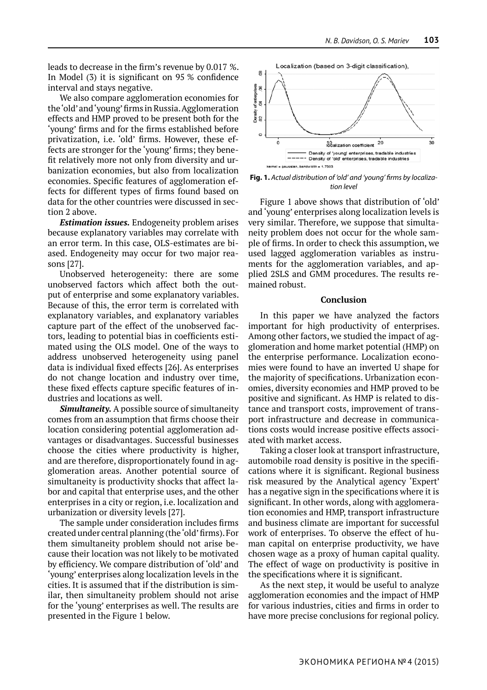leads to decrease in the firm's revenue by 0.017 %. In Model (3) it is significant on 95 % confidence interval and stays negative.

We also compare agglomeration economies for the 'old' and 'young' firms in Russia. Agglomeration effects and HMP proved to be present both for the 'young' firms and for the firms established before privatization, i.e. 'old' firms. However, these effects are stronger for the 'young' firms; they benefit relatively more not only from diversity and urbanization economies, but also from localization economies. Specific features of agglomeration effects for different types of firms found based on data for the other countries were discussed in section 2 above.

*Estimation issues.* Endogeneity problem arises because explanatory variables may correlate with an error term. In this case, OLS-estimates are biased. Endogeneity may occur for two major reasons [27].

Unobserved heterogeneity: there are some unobserved factors which affect both the output of enterprise and some explanatory variables. Because of this, the error term is correlated with explanatory variables, and explanatory variables capture part of the effect of the unobserved factors, leading to potential bias in coefficients estimated using the OLS model. One of the ways to address unobserved heterogeneity using panel data is individual fixed effects [26]. As enterprises do not change location and industry over time, these fixed effects capture specific features of industries and locations as well.

*Simultaneity.* A possible source of simultaneity comes from an assumption that firms choose their location considering potential agglomeration advantages or disadvantages. Successful businesses choose the cities where productivity is higher, and are therefore, disproportionately found in agglomeration areas. Another potential source of simultaneity is productivity shocks that affect labor and capital that enterprise uses, and the other enterprises in a city or region, i.e. localization and urbanization or diversity levels [27].

The sample under consideration includes firms created under central planning (the 'old' firms). For them simultaneity problem should not arise because their location was not likely to be motivated by efficiency. We compare distribution of 'old' and 'young' enterprises along localization levels in the cities. It is assumed that if the distribution is similar, then simultaneity problem should not arise for the 'young' enterprises as well. The results are presented in the Figure 1 below.



**Fig. 1.** *Actual distribution of 'old' and 'young' firms by localization level*

Figure 1 above shows that distribution of 'old' and 'young' enterprises along localization levels is very similar. Therefore, we suppose that simultaneity problem does not occur for the whole sample of firms. In order to check this assumption, we used lagged agglomeration variables as instruments for the agglomeration variables, and applied 2SLS and GMM procedures. The results remained robust.

#### **Conclusion**

In this paper we have analyzed the factors important for high productivity of enterprises. Among other factors, we studied the impact of agglomeration and home market potential (HMP) on the enterprise performance. Localization economies were found to have an inverted U shape for the majority of specifications. Urbanization economies, diversity economies and HMP proved to be positive and significant. As HMP is related to distance and transport costs, improvement of transport infrastructure and decrease in communications costs would increase positive effects associated with market access.

Taking a closer look at transport infrastructure, automobile road density is positive in the specifications where it is significant. Regional business risk measured by the Analytical agency 'Expert' has a negative sign in the specifications where it is significant. In other words, along with agglomeration economies and HMP, transport infrastructure and business climate are important for successful work of enterprises. To observe the effect of human capital on enterprise productivity, we have chosen wage as a proxy of human capital quality. The effect of wage on productivity is positive in the specifications where it is significant.

As the next step, it would be useful to analyze agglomeration economies and the impact of HMP for various industries, cities and firms in order to have more precise conclusions for regional policy.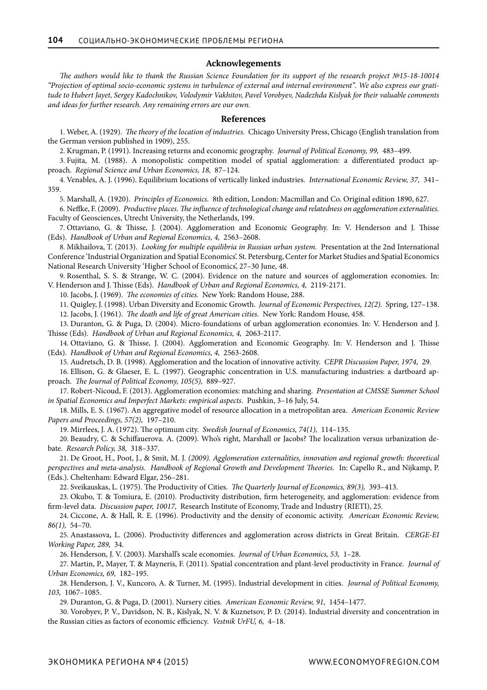## **Acknowlegements**

*The authors would like to thank the Russian Science Foundation for its support of the research project №15-18-10014 "Projection of optimal socio-economic systems in turbulence of external and internal environment". We also express our gratitude to Hubert Jayet, Sergey Kadochnikov, Volodymir Vakhitov, Pavel Vorobyev, Nadezhda Kislyak for their valuable comments and ideas for further research. Any remaining errors are our own.*

#### **References**

1. Weber, A. (1929).  *The theory of the location of industries.*  Chicago University Press, Chicago (English translation from the German version published in 1909), 255.

2. Krugman, P. (1991). Increasing returns and economic geography.  *Journal of Political Economy, 99,*  483–499.

3. Fujita, M. (1988). A monopolistic competition model of spatial agglomeration: a differentiated product approach.  *Regional Science and Urban Economics, 18,*  87–124.

4. Venables, A. J. (1996). Equilibrium locations of vertically linked industries.  *International Economic Review, 37,*  341– 359.

5. Marshall, A. (1920).  *Principles of Economics.*  8th edition, London: Macmillan and Co. Original edition 1890, 627.

6. Neffke, F. (2009).  *Productive places. The influence of technological change and relatedness on agglomeration externalities.*  Faculty of Geosciences, Utrecht University, the Netherlands, 199.

7. Ottaviano, G. & Thisse, J. (2004). Agglomeration and Economic Geography. In: V. Henderson and J. Thisse (Eds).  *Handbook of Urban and Regional Economics, 4,*  2563–2608.

8. Mikhailova, T. (2013).  *Looking for multiple equilibria in Russian urban system.*  Presentation at the 2nd International Conference 'Industrial Organization and Spatial Economics'. St. Petersburg, Center for Market Studies and Spatial Economics National Research University 'Higher School of Economics', 27–30 June, 48.

9. Rosenthal, S. S. & Strange, W. C. (2004). Evidence on the nature and sources of agglomeration economies. In: V. Henderson and J. Thisse (Eds).  *Handbook of Urban and Regional Economics, 4,*  2119-2171.

10. Jacobs, J. (1969).  *The economies of cities.*  New York: Random House, 288.

11. Quigley, J. (1998). Urban Diversity and Economic Growth.  *Journal of Economic Perspectives, 12(2).*  Spring, 127–138.

12. Jacobs, J. (1961).  *The death and life of great American cities.*  New York: Random House, 458.

13. Duranton, G. & Puga, D. (2004). Micro-foundations of urban agglomeration economies. In: V. Henderson and J. Thisse (Eds).  *Handbook of Urban and Regional Economics, 4,*  2063-2117.

14. Ottaviano, G. & Thisse, J. (2004). Agglomeration and Economic Geography. In: V. Henderson and J. Thisse (Eds).  *Handbook of Urban and Regional Economics, 4,*  2563-2608.

15. Audretsch, D. B. (1998). Agglomeration and the location of innovative activity.  *CEPR Discussion Paper, 1974,*  29.

16. Ellison, G. & Glaeser, E. L. (1997). Geographic concentration in U.S. manufacturing industries: a dartboard approach.  *The Journal of Political Economy, 105(5),*  889–927.

17. Robert-Nicoud, F. (2013). Agglomeration economies: matching and sharing.  *Presentation at CMSSE Summer School in Spatial Economics and Imperfect Markets: empirical aspects.*  Pushkin, 3–16 July, 54.

18. Mills, E. S. (1967). An aggregative model of resource allocation in a metropolitan area.  *American Economic Review Papers and Proceedings, 57(2),*  197–210.

19. Mirrlees, J. A. (1972). The optimum city.  *Swedish Journal of Economics, 74(1),*  114–135.

20. Beaudry, C. & Schiffauerova. A. (2009). Who's right, Marshall or Jacobs? The localization versus urbanization debate.  *Research Policy, 38,*  318–337.

21. De Groot, H., Poot, J., & Smit, M. J. *(2009). Agglomeration externalities, innovation and regional growth: theoretical perspectives and meta-analysis. Handbook of Regional Growth and Development Theories.*  In: Capello R., and Nijkamp, P. (Eds.). Cheltenham: Edward Elgar, 256–281.

22. Sveikauskas, L. (1975). The Productivity of Cities.  *The Quarterly Journal of Economics, 89(3),*  393–413.

23. Okubo, T. & Tomiura, E. (2010). Productivity distribution, firm heterogeneity, and agglomeration: evidence from firm-level data.  *Discussion paper, 10017,*  Research Institute of Economy, Trade and Industry (RIETI), 25.

24. Ciccone, A. & Hall, R. E. (1996). Productivity and the density of economic activity.  *American Economic Review, 86(1),*  54–70.

25. Anastassova, L. (2006). Productivity differences and agglomeration across districts in Great Britain.  *CERGE-EI Working Paper, 289,*  34.

26. Henderson, J. V. (2003). Marshall's scale economies.  *Journal of Urban Economics, 53,*  1–28.

27. Martin, P., Mayer, T. & Mayneris, F. (2011). Spatial concentration and plant-level productivity in France.  *Journal of Urban Economics, 69,*  182–195.

28. Henderson, J. V., Kuncoro, A. & Turner, M. (1995). Industrial development in cities.  *Journal of Political Economy, 103,*  1067–1085.

29. Duranton, G. & Puga, D. (2001). Nursery cities.  *American Economic Review, 91,*  1454–1477.

30. Vorobyev, P. V., Davidson, N. B., Kislyak, N. V. & Kuznetsov, P. D. (2014). Industrial diversity and concentration in the Russian cities as factors of economic efficiency.  *Vestnik UrFU, 6,*  4–18.